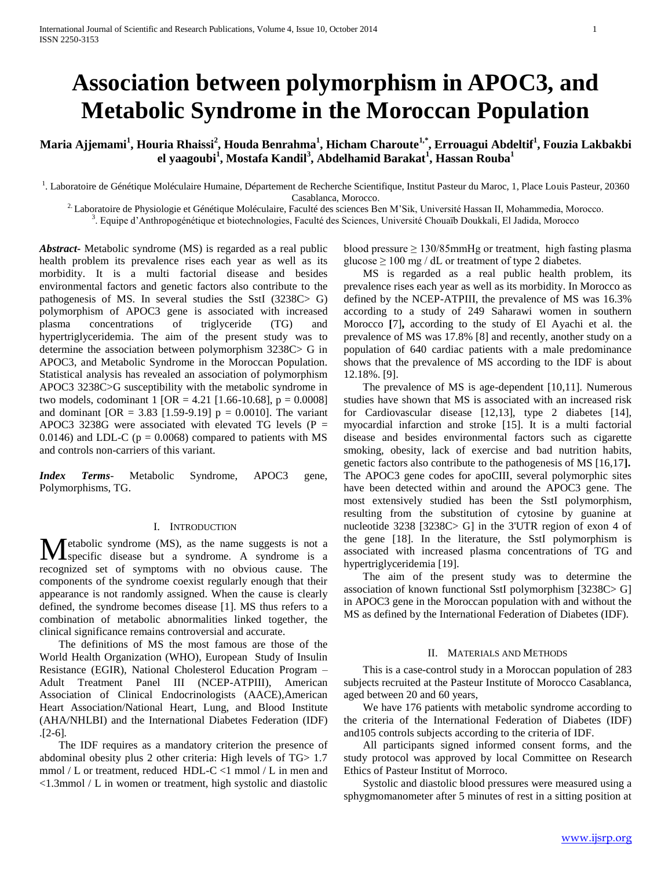# **Association between polymorphism in APOC3, and Metabolic Syndrome in the Moroccan Population**

## **Maria Ajjemami<sup>1</sup> , Houria Rhaissi<sup>2</sup> , Houda Benrahma<sup>1</sup> , Hicham Charoute1,\*, Errouagui Abdeltif<sup>1</sup> , Fouzia Lakbakbi el yaagoubi<sup>1</sup> , Mostafa Kandil<sup>3</sup> , Abdelhamid Barakat<sup>1</sup> , Hassan Rouba<sup>1</sup>**

<sup>1</sup>. Laboratoire de Génétique Moléculaire Humaine, Département de Recherche Scientifique, Institut Pasteur du Maroc, 1, Place Louis Pasteur, 20360 Casablanca, Morocco.

<sup>2.</sup> Laboratoire de Physiologie et Génétique Moléculaire, Faculté des sciences Ben M'Sik, Université Hassan II, Mohammedia, Morocco.

3 . Equipe d'Anthropogénétique et biotechnologies, Faculté des Sciences, Université Chouaïb Doukkali, El Jadida, Morocco

*Abstract***-** Metabolic syndrome (MS) is regarded as a real public health problem its prevalence rises each year as well as its morbidity. It is a multi factorial disease and besides environmental factors and genetic factors also contribute to the pathogenesis of MS. In several studies the SstI (3238C> G) polymorphism of APOC3 gene is associated with increased plasma concentrations of triglyceride (TG) and hypertriglyceridemia. The aim of the present study was to determine the association between polymorphism 3238C> G in APOC3, and Metabolic Syndrome in the Moroccan Population. Statistical analysis has revealed an association of polymorphism APOC3 3238C>G susceptibility with the metabolic syndrome in two models, codominant 1 [OR = 4.21 [1.66-10.68],  $p = 0.0008$ ] and dominant  $[OR = 3.83 [1.59-9.19] p = 0.0010]$ . The variant APOC3 3238G were associated with elevated TG levels ( $P =$ 0.0146) and LDL-C ( $p = 0.0068$ ) compared to patients with MS and controls non-carriers of this variant.

*Index Terms*- Metabolic Syndrome, APOC3 gene, Polymorphisms, TG.

#### I. INTRODUCTION

**T** etabolic syndrome (MS), as the name suggests is not a **M** etabolic syndrome (MS), as the name suggests is not a syndrome. A syndrome is a recognized set of symptoms with no obvious cause. The components of the syndrome coexist regularly enough that their appearance is not randomly assigned. When the cause is clearly defined, the syndrome becomes disease [1]. MS thus refers to a combination of metabolic abnormalities linked together, the clinical significance remains controversial and accurate.

 The definitions of MS the most famous are those of the World Health Organization (WHO), European Study of Insulin Resistance (EGIR), National Cholesterol Education Program – Adult Treatment Panel III (NCEP-ATPIII), American Association of Clinical Endocrinologists (AACE),American Heart Association/National Heart, Lung, and Blood Institute (AHA/NHLBI) and the International Diabetes Federation (IDF) .[2-6]*.*

 The IDF requires as a mandatory criterion the presence of abdominal obesity plus 2 other criteria: High levels of TG> 1.7 mmol / L or treatment, reduced HDL-C <1 mmol / L in men and <1.3mmol / L in women or treatment, high systolic and diastolic

blood pressure  $\geq 130/85$ mmHg or treatment, high fasting plasma glucose  $\geq 100$  mg / dL or treatment of type 2 diabetes.

 MS is regarded as a real public health problem, its prevalence rises each year as well as its morbidity. In Morocco as defined by the NCEP-ATPIII, the prevalence of MS was 16.3% according to a study of 249 Saharawi women in southern Morocco **[**7]**,** according to the study of El Ayachi et al. the prevalence of MS was 17.8% [8] and recently, another study on a population of 640 cardiac patients with a male predominance shows that the prevalence of MS according to the IDF is about 12.18%. [9].

 The prevalence of MS is age-dependent [10,11]*.* Numerous studies have shown that MS is associated with an increased risk for Cardiovascular disease [12,13], type 2 diabetes [14], myocardial infarction and stroke [15]. It is a multi factorial disease and besides environmental factors such as cigarette smoking, obesity, lack of exercise and bad nutrition habits, genetic factors also contribute to the pathogenesis of MS [16,17**].** The APOC3 gene codes for apoCIII, several polymorphic sites have been detected within and around the APOC3 gene. The most extensively studied has been the SstI polymorphism, resulting from the substitution of cytosine by guanine at nucleotide 3238 [3238C> G] in the 3'UTR region of exon 4 of the gene [18]. In the literature, the SstI polymorphism is associated with increased plasma concentrations of TG and hypertriglyceridemia [19].

 The aim of the present study was to determine the association of known functional SstI polymorphism [3238C> G] in APOC3 gene in the Moroccan population with and without the MS as defined by the International Federation of Diabetes (IDF).

#### II. MATERIALS AND METHODS

 This is a case-control study in a Moroccan population of 283 subjects recruited at the Pasteur Institute of Morocco Casablanca, aged between 20 and 60 years,

 We have 176 patients with metabolic syndrome according to the criteria of the International Federation of Diabetes (IDF) and105 controls subjects according to the criteria of IDF.

 All participants signed informed consent forms, and the study protocol was approved by local Committee on Research Ethics of Pasteur Institut of Morroco.

 Systolic and diastolic blood pressures were measured using a sphygmomanometer after 5 minutes of rest in a sitting position at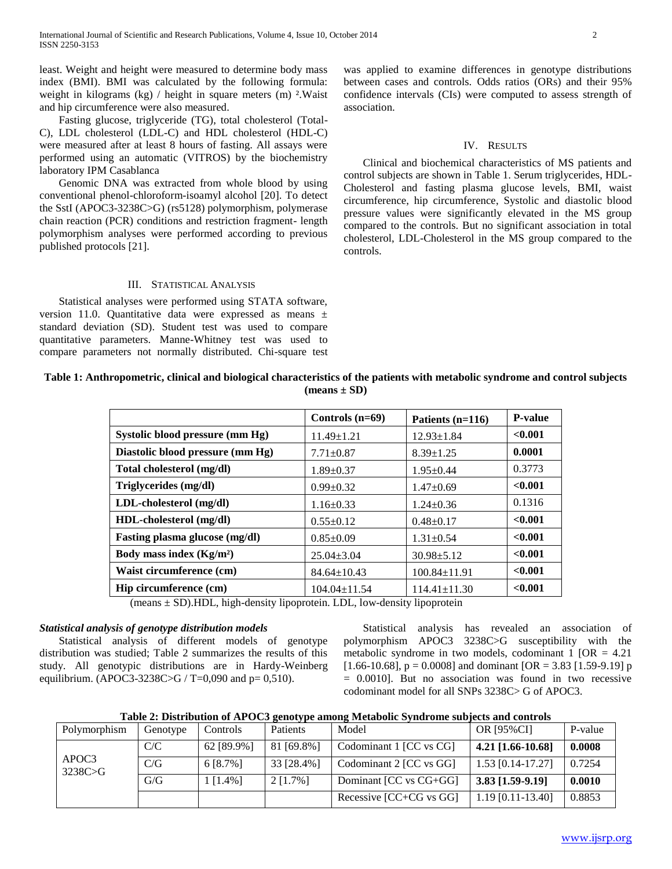least. Weight and height were measured to determine body mass index (BMI). BMI was calculated by the following formula: weight in kilograms  $(kg)$  / height in square meters  $(m)$  <sup>2</sup>. Waist and hip circumference were also measured.

 Fasting glucose, triglyceride (TG), total cholesterol (Total-C), LDL cholesterol (LDL-C) and HDL cholesterol (HDL-C) were measured after at least 8 hours of fasting. All assays were performed using an automatic (VITROS) by the biochemistry laboratory IPM Casablanca

 Genomic DNA was extracted from whole blood by using conventional phenol-chloroform-isoamyl alcohol [20]. To detect the SstI (APOC3-3238C>G) (rs5128) polymorphism, polymerase chain reaction (PCR) conditions and restriction fragment- length polymorphism analyses were performed according to previous published protocols [21].

## III. STATISTICAL ANALYSIS

 Statistical analyses were performed using STATA software, version 11.0. Quantitative data were expressed as means ± standard deviation (SD). Student test was used to compare quantitative parameters. Manne-Whitney test was used to compare parameters not normally distributed. Chi-square test was applied to examine differences in genotype distributions between cases and controls. Odds ratios (ORs) and their 95% confidence intervals (CIs) were computed to assess strength of association.

#### IV. RESULTS

 Clinical and biochemical characteristics of MS patients and control subjects are shown in Table 1. Serum triglycerides, HDL-Cholesterol and fasting plasma glucose levels, BMI, waist circumference, hip circumference, Systolic and diastolic blood pressure values were significantly elevated in the MS group compared to the controls. But no significant association in total cholesterol, LDL-Cholesterol in the MS group compared to the controls.

## **Table 1: Anthropometric, clinical and biological characteristics of the patients with metabolic syndrome and control subjects (means ± SD)**

|                                  | Controls $(n=69)$  | Patients $(n=116)$ | <b>P-value</b> |
|----------------------------------|--------------------|--------------------|----------------|
| Systolic blood pressure (mm Hg)  | $11.49 \pm 1.21$   | $12.93 \pm 1.84$   | < 0.001        |
| Diastolic blood pressure (mm Hg) | $7.71 \pm 0.87$    | $8.39 \pm 1.25$    | 0.0001         |
| Total cholesterol (mg/dl)        | $1.89 \pm 0.37$    | $1.95 \pm 0.44$    | 0.3773         |
| Triglycerides (mg/dl)            | $0.99 \pm 0.32$    | $1.47+0.69$        | < 0.001        |
| LDL-cholesterol (mg/dl)          | $1.16 \pm 0.33$    | $1.24 + 0.36$      | 0.1316         |
| HDL-cholesterol (mg/dl)          | $0.55 \pm 0.12$    | $0.48 \pm 0.17$    | < 0.001        |
| Fasting plasma glucose (mg/dl)   | $0.85 \pm 0.09$    | $1.31 \pm 0.54$    | < 0.001        |
| Body mass index $(Kg/m2)$        | $25.04 \pm 3.04$   | $30.98 \pm 5.12$   | < 0.001        |
| Waist circumference (cm)         | $84.64 \pm 10.43$  | $100.84 \pm 11.91$ | < 0.001        |
| Hip circumference (cm)           | $104.04 \pm 11.54$ | $114.41 \pm 11.30$ | < 0.001        |

 $(means \pm SD)$ .HDL, high-density lipoprotein. LDL, low-density lipoprotein

#### *Statistical analysis of genotype distribution models*

 Statistical analysis of different models of genotype distribution was studied; Table 2 summarizes the results of this study. All genotypic distributions are in Hardy-Weinberg equilibrium. (APOC3-3238C>G / T=0,090 and  $p= 0,510$ ).

 Statistical analysis has revealed an association of polymorphism APOC3 3238C>G susceptibility with the metabolic syndrome in two models, codominant  $1$  [OR = 4.21] [1.66-10.68],  $p = 0.0008$ ] and dominant [OR = 3.83 [1.59-9.19] p  $= 0.0010$ ]. But no association was found in two recessive codominant model for all SNPs 3238C> G of APOC3.

**Table 2: Distribution of APOC3 genotype among Metabolic Syndrome subjects and controls**

| Polymorphism     | Genotype | Controls              | <b>Patients</b> | Model                       | OR [95%CI]          | P-value |
|------------------|----------|-----------------------|-----------------|-----------------------------|---------------------|---------|
|                  | C/C      | 62 [89.9%]            | 81 [69.8%]      | Codominant 1 [CC vs CG]     | $4.21$ [1.66-10.68] | 0.0008  |
| APOC3<br>3238C>G | C/G      | 6 [8.7%]              | 33 [28.4%]      | Codominant 2 [CC vs GG]     | $1.53$ [0.14-17.27] | 0.7254  |
|                  | G/G      | $\lceil 1.4\% \rceil$ | $2$ [1.7%]      | Dominant [CC vs CG+GG]      | $3.83$ [1.59-9.19]  | 0.0010  |
|                  |          |                       |                 | Recessive $[CC+CG$ vs $GG]$ | $1.19$ [0.11-13.40] | 0.8853  |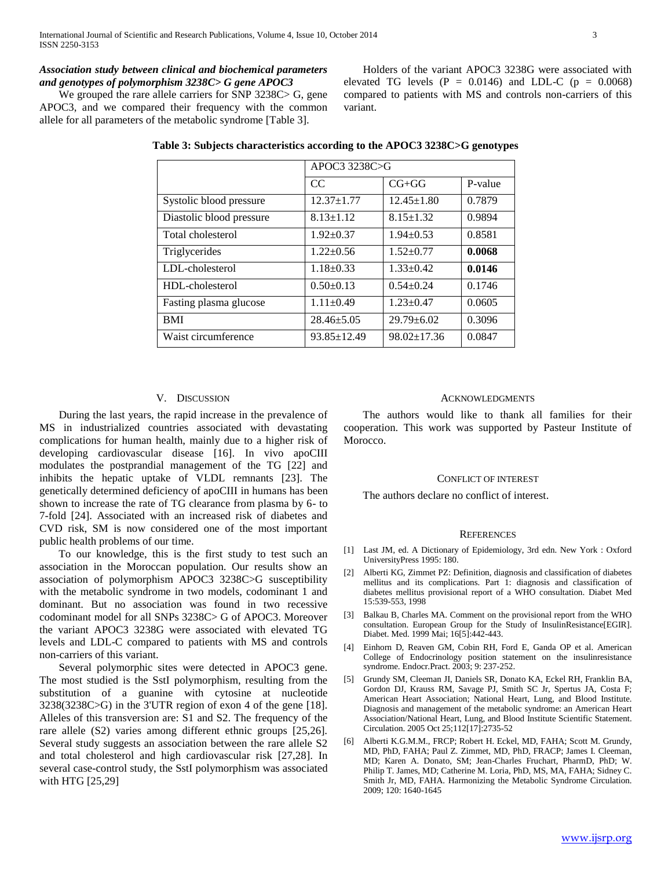## *Association study between clinical and biochemical parameters and genotypes of polymorphism 3238C> G gene APOC3*

We grouped the rare allele carriers for SNP 3238C > G, gene APOC3, and we compared their frequency with the common allele for all parameters of the metabolic syndrome [Table 3].

|                          | APOC3 3238C>G     |                   |         |  |
|--------------------------|-------------------|-------------------|---------|--|
|                          | CC                | $CG+GG$           | P-value |  |
| Systolic blood pressure  | $12.37 + 1.77$    | $12.45 \pm 1.80$  | 0.7879  |  |
| Diastolic blood pressure | $8.13 \pm 1.12$   | $8.15 \pm 1.32$   | 0.9894  |  |
| Total cholesterol        | $1.92+0.37$       | $1.94 \pm 0.53$   | 0.8581  |  |
| Triglycerides            | $1.22+0.56$       | $1.52+0.77$       | 0.0068  |  |
| LDL-cholesterol          | $1.18 + 0.33$     | $1.33 \pm 0.42$   | 0.0146  |  |
| HDL-cholesterol          | $0.50+0.13$       | $0.54 + 0.24$     | 0.1746  |  |
| Fasting plasma glucose   | $1.11 \pm 0.49$   | $1.23 \pm 0.47$   | 0.0605  |  |
| <b>BMI</b>               | $28.46 \pm 5.05$  | $29.79 \pm 6.02$  | 0.3096  |  |
| Waist circumference      | $93.85 \pm 12.49$ | $98.02 \pm 17.36$ | 0.0847  |  |

## **Table 3: Subjects characteristics according to the APOC3 3238C>G genotypes**

variant.

## V. DISCUSSION

 During the last years, the rapid increase in the prevalence of MS in industrialized countries associated with devastating complications for human health, mainly due to a higher risk of developing cardiovascular disease [16]. In vivo apoCIII modulates the postprandial management of the TG [22] and inhibits the hepatic uptake of VLDL remnants [23]. The genetically determined deficiency of apoCIII in humans has been shown to increase the rate of TG clearance from plasma by 6- to 7-fold [24]. Associated with an increased risk of diabetes and CVD risk, SM is now considered one of the most important public health problems of our time.

 To our knowledge, this is the first study to test such an association in the Moroccan population. Our results show an association of polymorphism APOC3 3238C>G susceptibility with the metabolic syndrome in two models, codominant 1 and dominant. But no association was found in two recessive codominant model for all SNPs 3238C> G of APOC3. Moreover the variant APOC3 3238G were associated with elevated TG levels and LDL-C compared to patients with MS and controls non-carriers of this variant.

 Several polymorphic sites were detected in APOC3 gene. The most studied is the SstI polymorphism, resulting from the substitution of a guanine with cytosine at nucleotide 3238(3238C>G) in the 3'UTR region of exon 4 of the gene [18]. Alleles of this transversion are: S1 and S2. The frequency of the rare allele (S2) varies among different ethnic groups [25,26]. Several study suggests an association between the rare allele S2 and total cholesterol and high cardiovascular risk [27,28]. In several case-control study, the SstI polymorphism was associated with HTG [25,29]

#### ACKNOWLEDGMENTS

 Holders of the variant APOC3 3238G were associated with elevated TG levels ( $P = 0.0146$ ) and LDL-C ( $p = 0.0068$ ) compared to patients with MS and controls non-carriers of this

 The authors would like to thank all families for their cooperation. This work was supported by Pasteur Institute of Morocco.

#### CONFLICT OF INTEREST

The authors declare no conflict of interest.

#### **REFERENCES**

- [1] Last JM, ed. A Dictionary of Epidemiology, 3rd edn. New York : Oxford UniversityPress 1995: 180.
- [2] Alberti KG, Zimmet PZ: Definition, diagnosis and classification of diabetes mellitus and its complications. Part 1: diagnosis and classification of diabetes mellitus provisional report of a WHO consultation. Diabet Med 15:539-553, 1998
- [3] Balkau B, Charles MA. Comment on the provisional report from the WHO consultation. European Group for the Study of InsulinResistance[EGIR]. Diabet. Med. 1999 Mai; 16[5]:442-443.
- [4] Einhorn D, Reaven GM, Cobin RH, Ford E, Ganda OP et al. American College of Endocrinology position statement on the insulinresistance syndrome. Endocr.Pract. 2003; 9: 237-252.
- [5] Grundy SM, Cleeman JI, Daniels SR, Donato KA, Eckel RH, Franklin BA, Gordon DJ, Krauss RM, Savage PJ, Smith SC Jr, Spertus JA, Costa F; American Heart Association; National Heart, Lung, and Blood Institute. Diagnosis and management of the metabolic syndrome: an American Heart Association/National Heart, Lung, and Blood Institute Scientific Statement. Circulation. 2005 Oct 25;112[17]:2735-52
- [6] Alberti K.G.M.M., FRCP; Robert H. Eckel, MD, FAHA; Scott M. Grundy, MD, PhD, FAHA; Paul Z. Zimmet, MD, PhD, FRACP; James I. Cleeman, MD; Karen A. Donato, SM; Jean-Charles Fruchart, PharmD, PhD; W. Philip T. James, MD; Catherine M. Loria, PhD, MS, MA, FAHA; Sidney C. Smith Jr, MD, FAHA. Harmonizing the Metabolic Syndrome Circulation. 2009; 120: 1640-1645